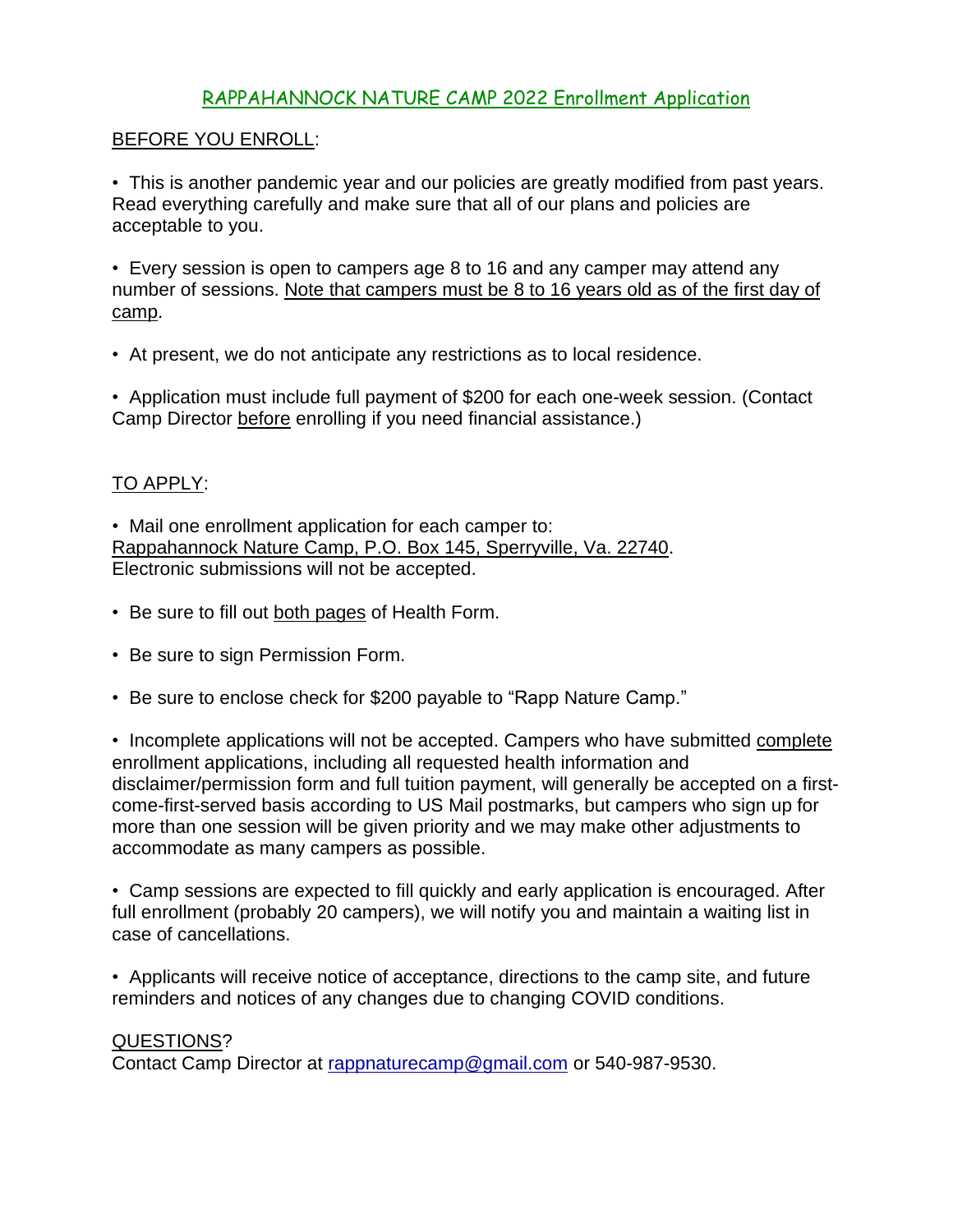## RAPPAHANNOCK NATURE CAMP 2022 Enrollment Application

### BEFORE YOU ENROLL:

• This is another pandemic year and our policies are greatly modified from past years. Read everything carefully and make sure that all of our plans and policies are acceptable to you.

• Every session is open to campers age 8 to 16 and any camper may attend any number of sessions. Note that campers must be 8 to 16 years old as of the first day of camp.

• At present, we do not anticipate any restrictions as to local residence.

• Application must include full payment of \$200 for each one-week session. (Contact Camp Director before enrolling if you need financial assistance.)

## TO APPLY:

• Mail one enrollment application for each camper to: Rappahannock Nature Camp, P.O. Box 145, Sperryville, Va. 22740. Electronic submissions will not be accepted.

- Be sure to fill out both pages of Health Form.
- Be sure to sign Permission Form.
- Be sure to enclose check for \$200 payable to "Rapp Nature Camp."

• Incomplete applications will not be accepted. Campers who have submitted complete enrollment applications, including all requested health information and disclaimer/permission form and full tuition payment, will generally be accepted on a firstcome-first-served basis according to US Mail postmarks, but campers who sign up for more than one session will be given priority and we may make other adjustments to accommodate as many campers as possible.

• Camp sessions are expected to fill quickly and early application is encouraged. After full enrollment (probably 20 campers), we will notify you and maintain a waiting list in case of cancellations.

• Applicants will receive notice of acceptance, directions to the camp site, and future reminders and notices of any changes due to changing COVID conditions.

#### QUESTIONS?

Contact Camp Director at [rappnaturecamp@gmail.com](mailto:rappnaturecamp@gmail.com) or 540-987-9530.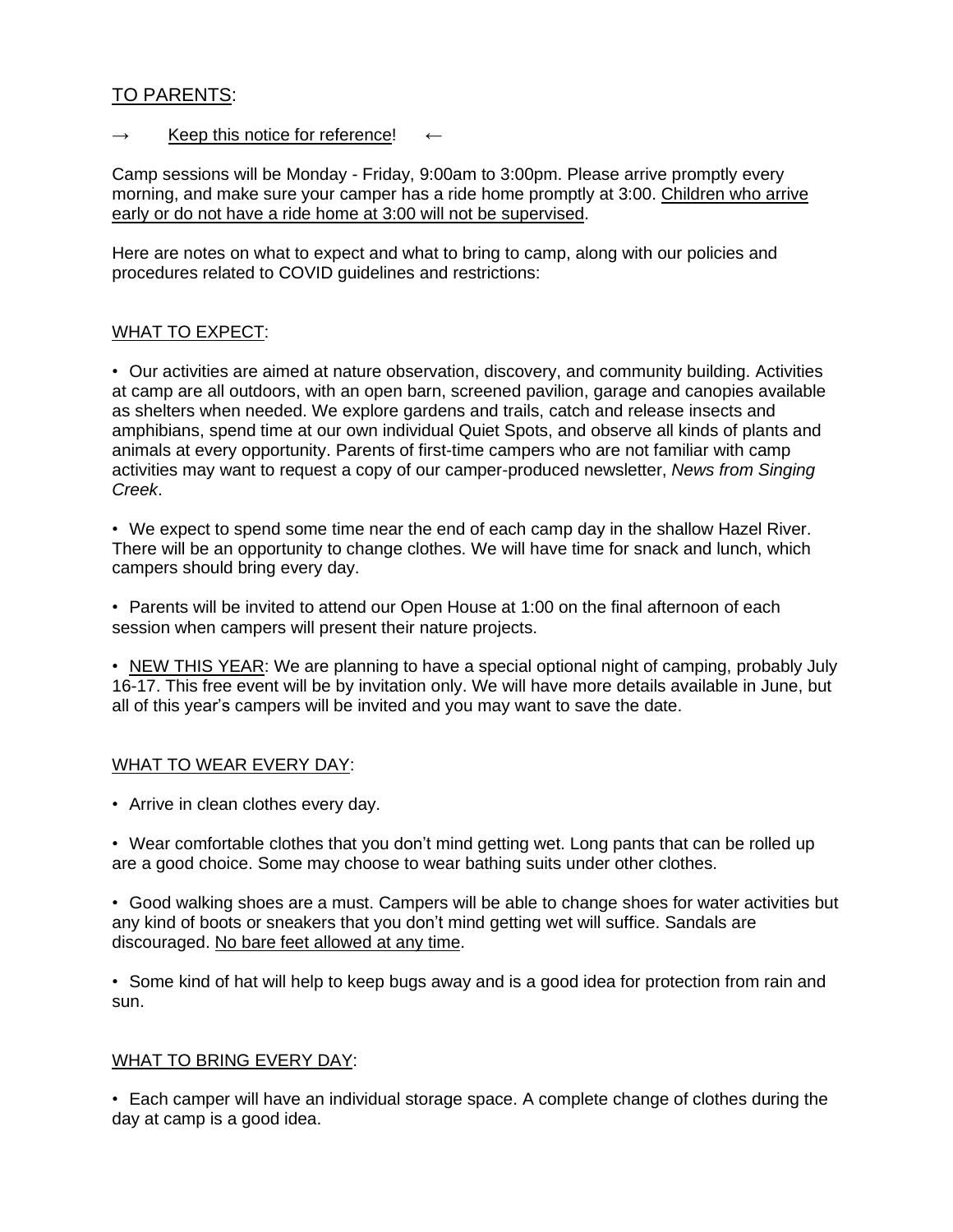## TO PARENTS:

#### $\rightarrow$  Keep this notice for reference!

Camp sessions will be Monday - Friday, 9:00am to 3:00pm. Please arrive promptly every morning, and make sure your camper has a ride home promptly at 3:00. Children who arrive early or do not have a ride home at 3:00 will not be supervised.

Here are notes on what to expect and what to bring to camp, along with our policies and procedures related to COVID guidelines and restrictions:

#### WHAT TO EXPECT:

• Our activities are aimed at nature observation, discovery, and community building. Activities at camp are all outdoors, with an open barn, screened pavilion, garage and canopies available as shelters when needed. We explore gardens and trails, catch and release insects and amphibians, spend time at our own individual Quiet Spots, and observe all kinds of plants and animals at every opportunity. Parents of first-time campers who are not familiar with camp activities may want to request a copy of our camper-produced newsletter, *News from Singing Creek*.

• We expect to spend some time near the end of each camp day in the shallow Hazel River. There will be an opportunity to change clothes. We will have time for snack and lunch, which campers should bring every day.

• Parents will be invited to attend our Open House at 1:00 on the final afternoon of each session when campers will present their nature projects.

• NEW THIS YEAR: We are planning to have a special optional night of camping, probably July 16-17. This free event will be by invitation only. We will have more details available in June, but all of this year's campers will be invited and you may want to save the date.

#### WHAT TO WEAR EVERY DAY:

• Arrive in clean clothes every day.

• Wear comfortable clothes that you don't mind getting wet. Long pants that can be rolled up are a good choice. Some may choose to wear bathing suits under other clothes.

• Good walking shoes are a must. Campers will be able to change shoes for water activities but any kind of boots or sneakers that you don't mind getting wet will suffice. Sandals are discouraged. No bare feet allowed at any time.

• Some kind of hat will help to keep bugs away and is a good idea for protection from rain and sun.

#### WHAT TO BRING EVERY DAY:

• Each camper will have an individual storage space. A complete change of clothes during the day at camp is a good idea.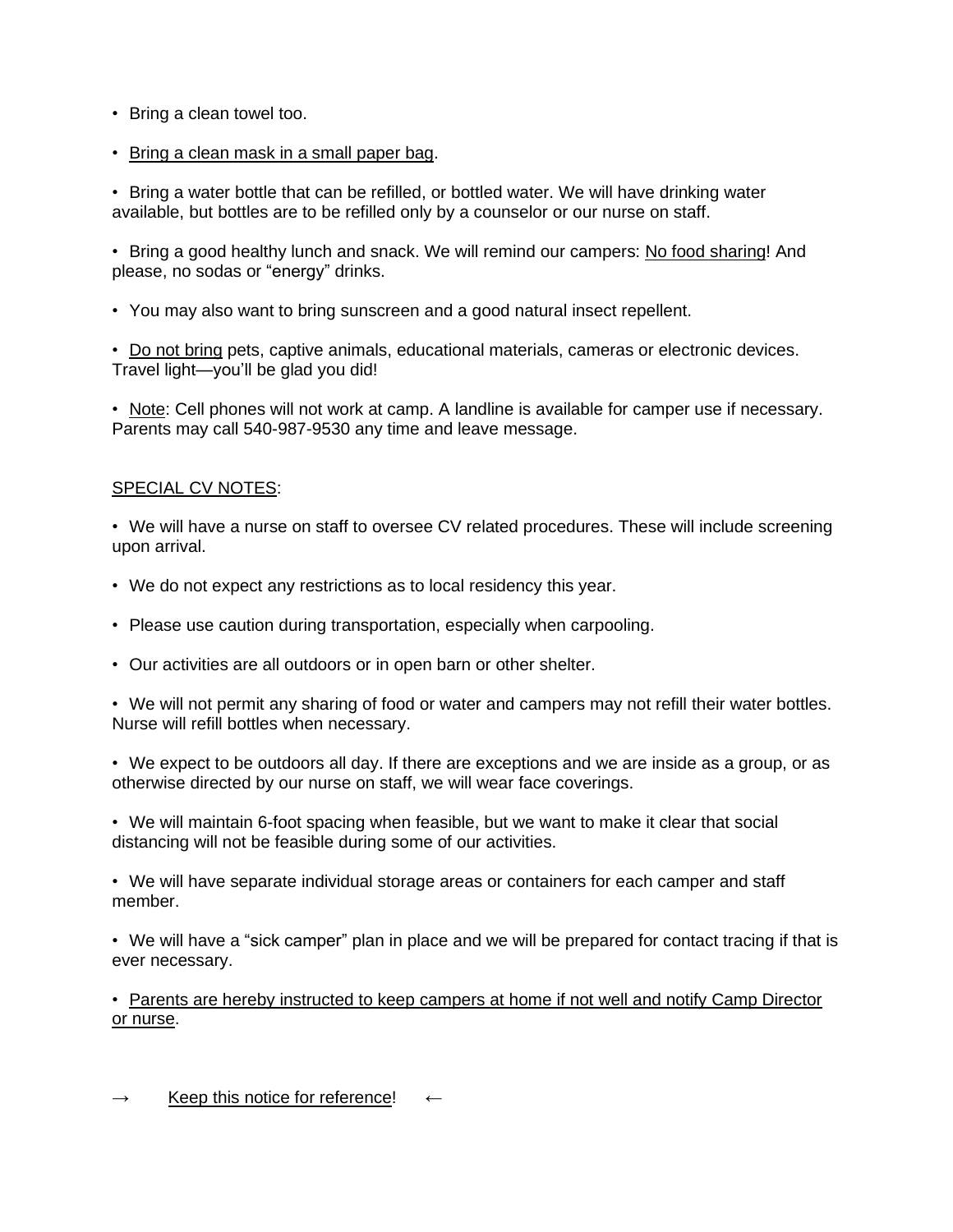- Bring a clean towel too.
- Bring a clean mask in a small paper bag.

• Bring a water bottle that can be refilled, or bottled water. We will have drinking water available, but bottles are to be refilled only by a counselor or our nurse on staff.

• Bring a good healthy lunch and snack. We will remind our campers: No food sharing! And please, no sodas or "energy" drinks.

• You may also want to bring sunscreen and a good natural insect repellent.

• Do not bring pets, captive animals, educational materials, cameras or electronic devices. Travel light—you'll be glad you did!

• Note: Cell phones will not work at camp. A landline is available for camper use if necessary. Parents may call 540-987-9530 any time and leave message.

#### SPECIAL CV NOTES:

• We will have a nurse on staff to oversee CV related procedures. These will include screening upon arrival.

- We do not expect any restrictions as to local residency this year.
- Please use caution during transportation, especially when carpooling.
- Our activities are all outdoors or in open barn or other shelter.

• We will not permit any sharing of food or water and campers may not refill their water bottles. Nurse will refill bottles when necessary.

• We expect to be outdoors all day. If there are exceptions and we are inside as a group, or as otherwise directed by our nurse on staff, we will wear face coverings.

• We will maintain 6-foot spacing when feasible, but we want to make it clear that social distancing will not be feasible during some of our activities.

• We will have separate individual storage areas or containers for each camper and staff member.

• We will have a "sick camper" plan in place and we will be prepared for contact tracing if that is ever necessary.

• Parents are hereby instructed to keep campers at home if not well and notify Camp Director or nurse.

 $\rightarrow$  Keep this notice for reference!  $\leftarrow$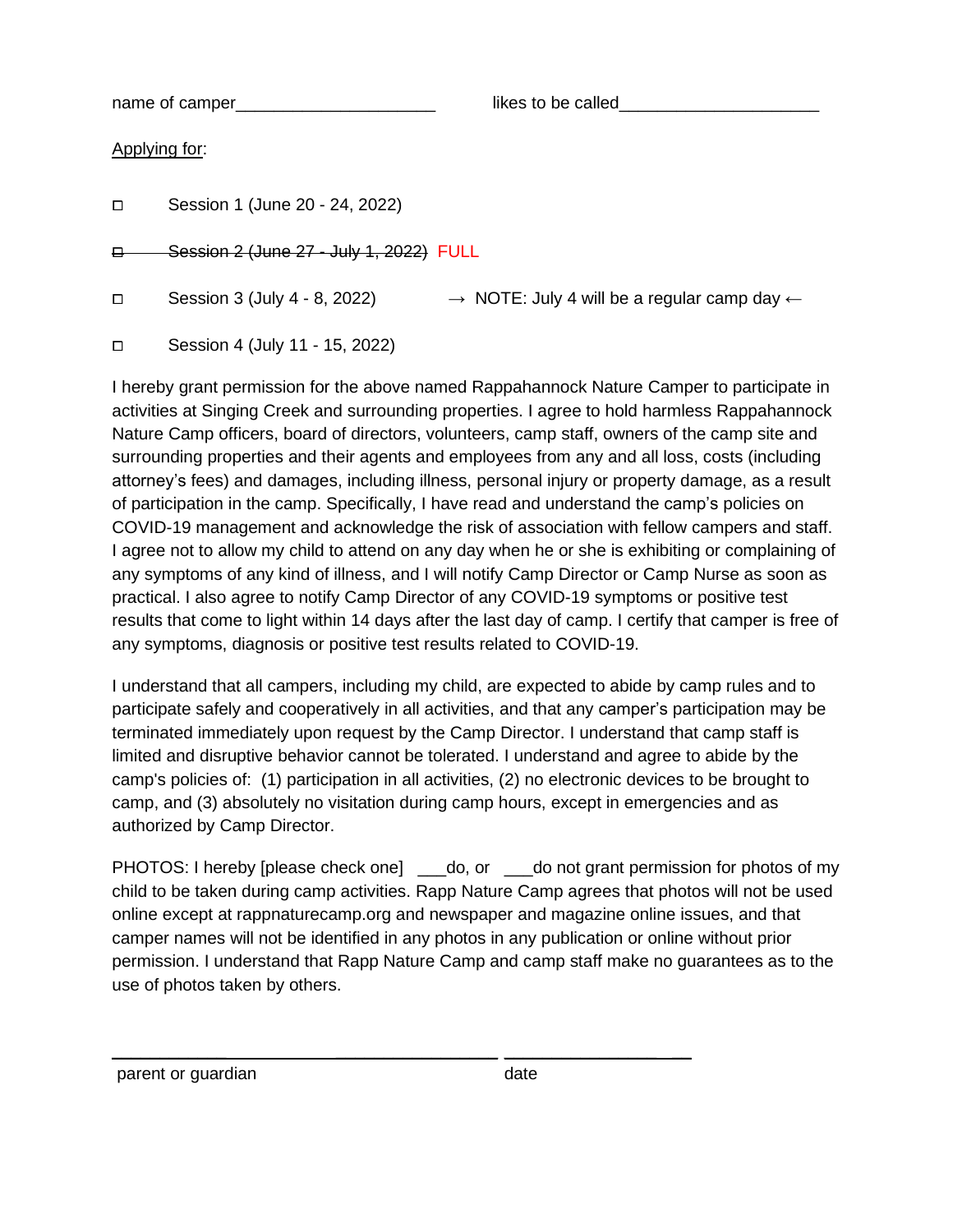name of camper and the state of camper  $\qquad \qquad$  likes to be called

Applying for:

| ◻ | Session 1 (June 20 - 24, 2022) |  |  |  |  |
|---|--------------------------------|--|--|--|--|
|---|--------------------------------|--|--|--|--|

**E** Session 2 (June 27 - July 1, 2022) FULL

□ Session 3 (July 4 - 8, 2022)  $\rightarrow$  NOTE: July 4 will be a regular camp day  $\leftarrow$ 

⧠ Session 4 (July 11 - 15, 2022)

I hereby grant permission for the above named Rappahannock Nature Camper to participate in activities at Singing Creek and surrounding properties. I agree to hold harmless Rappahannock Nature Camp officers, board of directors, volunteers, camp staff, owners of the camp site and surrounding properties and their agents and employees from any and all loss, costs (including attorney's fees) and damages, including illness, personal injury or property damage, as a result of participation in the camp. Specifically, I have read and understand the camp's policies on COVID-19 management and acknowledge the risk of association with fellow campers and staff. I agree not to allow my child to attend on any day when he or she is exhibiting or complaining of any symptoms of any kind of illness, and I will notify Camp Director or Camp Nurse as soon as practical. I also agree to notify Camp Director of any COVID-19 symptoms or positive test results that come to light within 14 days after the last day of camp. I certify that camper is free of any symptoms, diagnosis or positive test results related to COVID-19.

I understand that all campers, including my child, are expected to abide by camp rules and to participate safely and cooperatively in all activities, and that any camper's participation may be terminated immediately upon request by the Camp Director. I understand that camp staff is limited and disruptive behavior cannot be tolerated. I understand and agree to abide by the camp's policies of: (1) participation in all activities, (2) no electronic devices to be brought to camp, and (3) absolutely no visitation during camp hours, except in emergencies and as authorized by Camp Director.

PHOTOS: I hereby [please check one] do, or do not grant permission for photos of my child to be taken during camp activities. Rapp Nature Camp agrees that photos will not be used online except at rappnaturecamp.org and newspaper and magazine online issues, and that camper names will not be identified in any photos in any publication or online without prior permission. I understand that Rapp Nature Camp and camp staff make no guarantees as to the use of photos taken by others.

\_\_\_\_\_\_\_\_\_\_\_\_ \_\_\_\_\_\_\_\_\_\_\_\_\_\_\_\_\_ \_\_\_\_\_\_\_\_\_\_\_\_\_\_\_\_ \_\_

parent or guardian date date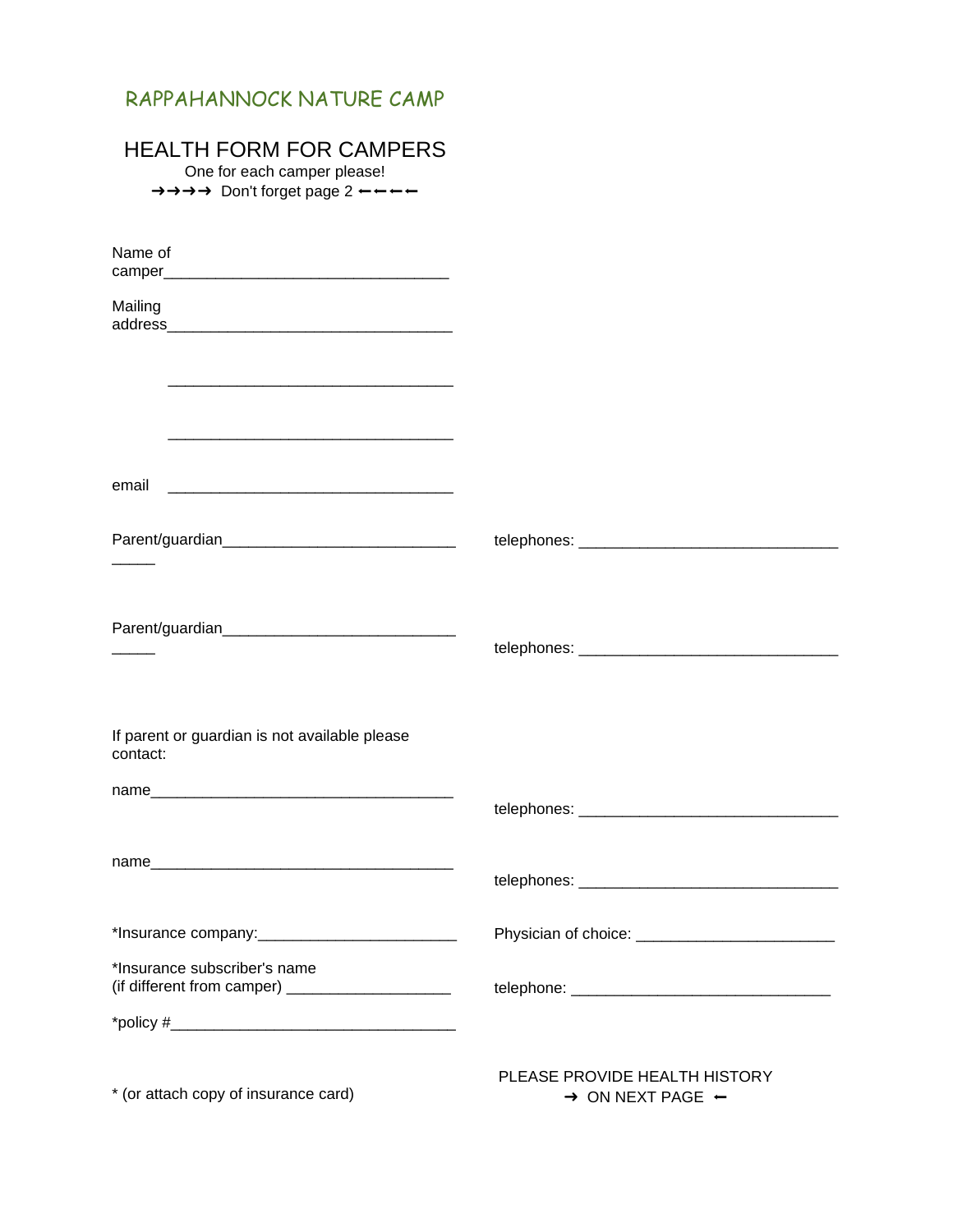# RAPPAHANNOCK NATURE CAMP

# HEALTH FORM FOR CAMPERS

One for each camper please!

→→→→ Don't forget page 2 ←←←←

| Name of                                                                                                                       |                                                                          |
|-------------------------------------------------------------------------------------------------------------------------------|--------------------------------------------------------------------------|
|                                                                                                                               |                                                                          |
| Mailing                                                                                                                       |                                                                          |
|                                                                                                                               |                                                                          |
|                                                                                                                               |                                                                          |
| email<br><u> 2000 - 2000 - 2000 - 2000 - 2000 - 2000 - 2000 - 2000 - 2000 - 2000 - 2000 - 2000 - 2000 - 2000 - 2000 - 200</u> |                                                                          |
|                                                                                                                               |                                                                          |
|                                                                                                                               |                                                                          |
|                                                                                                                               |                                                                          |
|                                                                                                                               |                                                                          |
| If parent or guardian is not available please<br>contact:                                                                     |                                                                          |
|                                                                                                                               |                                                                          |
|                                                                                                                               |                                                                          |
|                                                                                                                               |                                                                          |
|                                                                                                                               |                                                                          |
| *Insurance company:_                                                                                                          | Physician of choice:                                                     |
| *Insurance subscriber's name                                                                                                  |                                                                          |
|                                                                                                                               |                                                                          |
| * (or attach copy of insurance card)                                                                                          | PLEASE PROVIDE HEALTH HISTORY<br>$\rightarrow$ ON NEXT PAGE $\leftarrow$ |